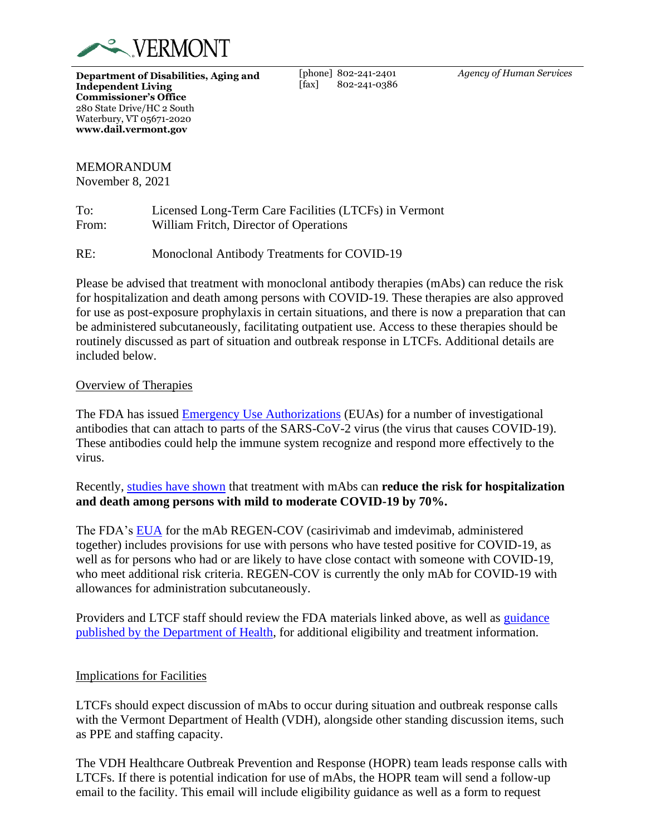

**Department of Disabilities, Aging and Independent Living Commissioner's Office** 280 State Drive/HC 2 South Waterbury, VT 05671-2020 **www.dail.vermont.gov**

[phone] 802-241-2401 [fax] 802-241-0386 *Agency of Human Services*

## MEMORANDUM

November 8, 2021

| To:   | Licensed Long-Term Care Facilities (LTCFs) in Vermont |
|-------|-------------------------------------------------------|
| From: | William Fritch, Director of Operations                |

RE: Monoclonal Antibody Treatments for COVID-19

Please be advised that treatment with monoclonal antibody therapies (mAbs) can reduce the risk for hospitalization and death among persons with COVID-19. These therapies are also approved for use as post-exposure prophylaxis in certain situations, and there is now a preparation that can be administered subcutaneously, facilitating outpatient use. Access to these therapies should be routinely discussed as part of situation and outbreak response in LTCFs. Additional details are included below.

## Overview of Therapies

The FDA has issued [Emergency Use Authorizations](https://www.fda.gov/emergency-preparedness-and-response/mcm-legal-regulatory-and-policy-framework/emergency-use-authorization) (EUAs) for a number of investigational antibodies that can attach to parts of the SARS-CoV-2 virus (the virus that causes COVID-19). These antibodies could help the immune system recognize and respond more effectively to the virus.

Recently, [studies have shown](https://www.covid19treatmentguidelines.nih.gov/tables/table-3a/) that treatment with mAbs can **reduce the risk for hospitalization and death among persons with mild to moderate COVID-19 by 70%.**

The FDA's [EUA](https://www.fda.gov/media/145610/download) for the mAb REGEN-COV (casirivimab and imdevimab, administered together) includes provisions for use with persons who have tested positive for COVID-19, as well as for persons who had or are likely to have close contact with someone with COVID-19, who meet additional risk criteria. REGEN-COV is currently the only mAb for COVID-19 with allowances for administration subcutaneously.

Providers and LTCF staff should review the FDA materials linked above, as well as [guidance](https://www.healthvermont.gov/response/alerts/health-alerts-advisories)  [published by the Department of Health,](https://www.healthvermont.gov/response/alerts/health-alerts-advisories) for additional eligibility and treatment information.

## Implications for Facilities

LTCFs should expect discussion of mAbs to occur during situation and outbreak response calls with the Vermont Department of Health (VDH), alongside other standing discussion items, such as PPE and staffing capacity.

The VDH Healthcare Outbreak Prevention and Response (HOPR) team leads response calls with LTCFs. If there is potential indication for use of mAbs, the HOPR team will send a follow-up email to the facility. This email will include eligibility guidance as well as a form to request